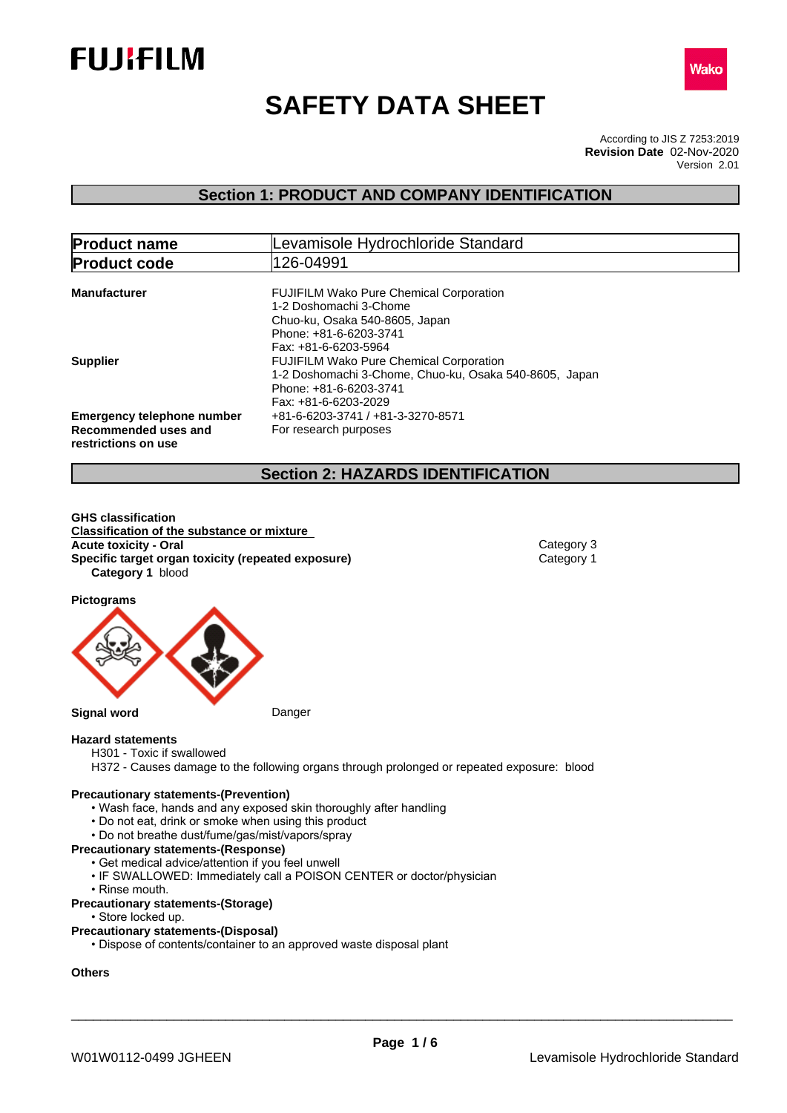



# **SAFETY DATA SHEET**

According to JIS Z 7253:2019 Version 2.01 **Revision Date** 02-Nov-2020

# **Section 1: PRODUCT AND COMPANY IDENTIFICATION**

| <b>Product name</b>                                                              | Levamisole Hydrochloride Standard                                                                                                                            |
|----------------------------------------------------------------------------------|--------------------------------------------------------------------------------------------------------------------------------------------------------------|
| <b>Product code</b>                                                              | 126-04991                                                                                                                                                    |
| <b>Manufacturer</b>                                                              | <b>FUJIFILM Wako Pure Chemical Corporation</b><br>1-2 Doshomachi 3-Chome<br>Chuo-ku, Osaka 540-8605, Japan<br>Phone: +81-6-6203-3741<br>Fax: +81-6-6203-5964 |
| <b>Supplier</b>                                                                  | <b>FUJIFILM Wako Pure Chemical Corporation</b><br>1-2 Doshomachi 3-Chome, Chuo-ku, Osaka 540-8605, Japan<br>Phone: +81-6-6203-3741<br>Fax: +81-6-6203-2029   |
| <b>Emergency telephone number</b><br>Recommended uses and<br>restrictions on use | +81-6-6203-3741 / +81-3-3270-8571<br>For research purposes                                                                                                   |

# **Section 2: HAZARDS IDENTIFICATION**

**GHS classification Classification of the substance or mixture Acute toxicity - Oral** Category 3 **Specific target organ toxicity (repeated exposure)** Category 1 **Category 1** blood

**Pictograms**



# **Hazard statements**

- H301 Toxic if swallowed
- H372 Causes damage to the following organs through prolonged or repeated exposure: blood

#### **Precautionary statements-(Prevention)**

- Wash face, hands and any exposed skin thoroughly after handling
- Do not eat, drink or smoke when using this product
- Do not breathe dust/fume/gas/mist/vapors/spray

#### **Precautionary statements-(Response)**

- Get medical advice/attention if you feel unwell
- IF SWALLOWED: Immediately call a POISON CENTER or doctor/physician
- Rinse mouth.

#### **Precautionary statements-(Storage)**

• Store locked up.

#### **Precautionary statements-(Disposal)**

• Dispose of contents/container to an approved waste disposal plant

#### **Others**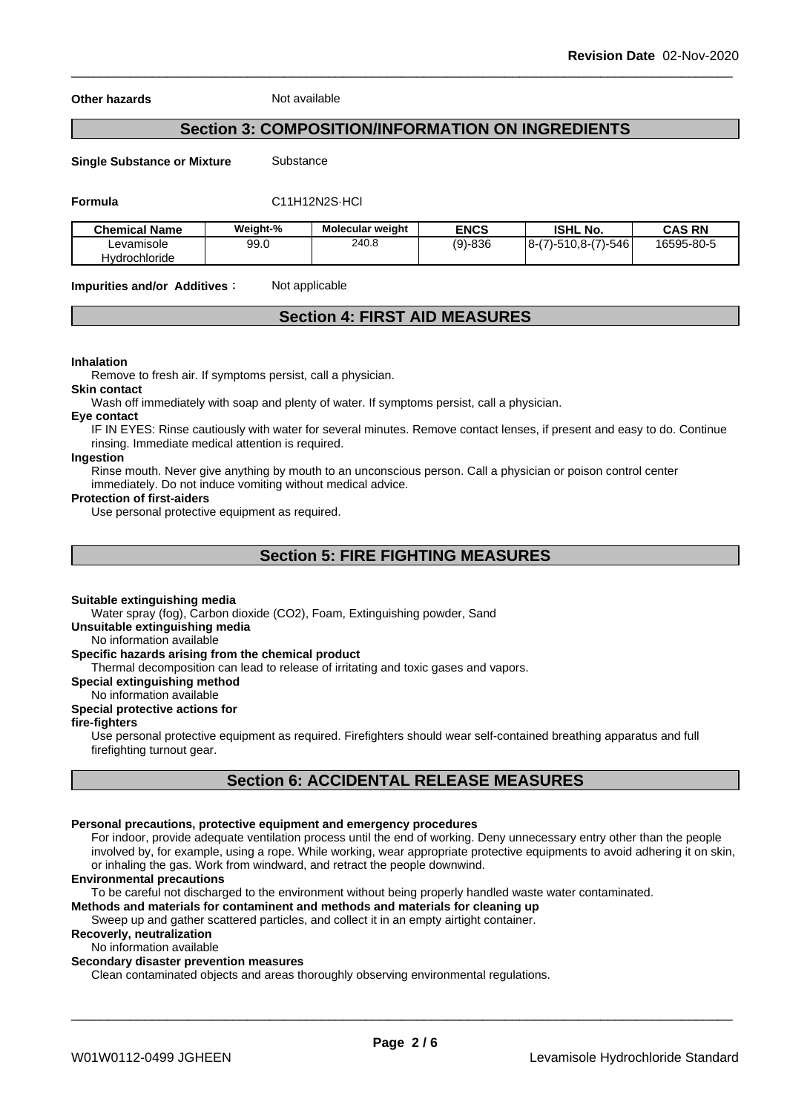**Other hazards** Not available

# **Section 3: COMPOSITION/INFORMATION ON INGREDIENTS**

**Single Substance or Mixture** Substance

# **Formula** C11H12N2S·HCl

| <b>Chemical Name</b> | Weight-% | <b>Molecular weight</b> | <b>ENCS</b> | <b>ISHL No.</b>         | <b>CAS RN</b> |
|----------------------|----------|-------------------------|-------------|-------------------------|---------------|
| Levamisole           | 99.0     | 240.8                   | $(9)-836$   | $ 8-(7)-510,8-(7)-546 $ | 16595-80-5    |
| <b>Hydrochloride</b> |          |                         |             |                         |               |

**Impurities and/or Additives:** Not applicable

# **Section 4: FIRST AID MEASURES**

#### **Inhalation**

Remove to fresh air. If symptoms persist, call a physician.

#### **Skin contact**

Wash off immediately with soap and plenty of water. If symptoms persist, call a physician.

#### **Eye contact**

IF IN EYES: Rinse cautiously with water for several minutes. Remove contact lenses, if present and easy to do. Continue rinsing. Immediate medical attention is required.

# **Ingestion**

Rinse mouth. Never give anything by mouth to an unconscious person. Call a physician or poison control center immediately. Do not induce vomiting without medical advice.

#### **Protection of first-aiders**

Use personal protective equipment as required.

# **Section 5: FIRE FIGHTING MEASURES**

#### **Suitable extinguishing media**

Water spray (fog), Carbon dioxide (CO2), Foam, Extinguishing powder, Sand

#### **Unsuitable extinguishing media**

No information available

### **Specific hazards arising from the chemical product**

Thermal decomposition can lead to release of irritating and toxic gases and vapors.

#### **Special extinguishing method**

No information available

#### **Special protective actions for**

#### **fire-fighters**

Use personal protective equipment as required.Firefighters should wear self-contained breathing apparatus and full firefighting turnout gear.

# **Section 6: ACCIDENTAL RELEASE MEASURES**

#### **Personal precautions, protective equipment and emergency procedures**

For indoor, provide adequate ventilation process until the end of working. Deny unnecessary entry other than the people involved by, for example, using a rope. While working, wear appropriate protective equipments to avoid adhering it on skin, or inhaling the gas. Work from windward, and retract the people downwind.

#### **Environmental precautions**

To be careful not discharged to the environment without being properly handled waste water contaminated.

# **Methods and materials for contaminent and methods and materials for cleaning up**

Sweep up and gather scattered particles, and collect it in an empty airtight container.

# **Recoverly, neutralization**

No information available

#### **Secondary disaster prevention measures**

Clean contaminated objects and areas thoroughly observing environmental regulations.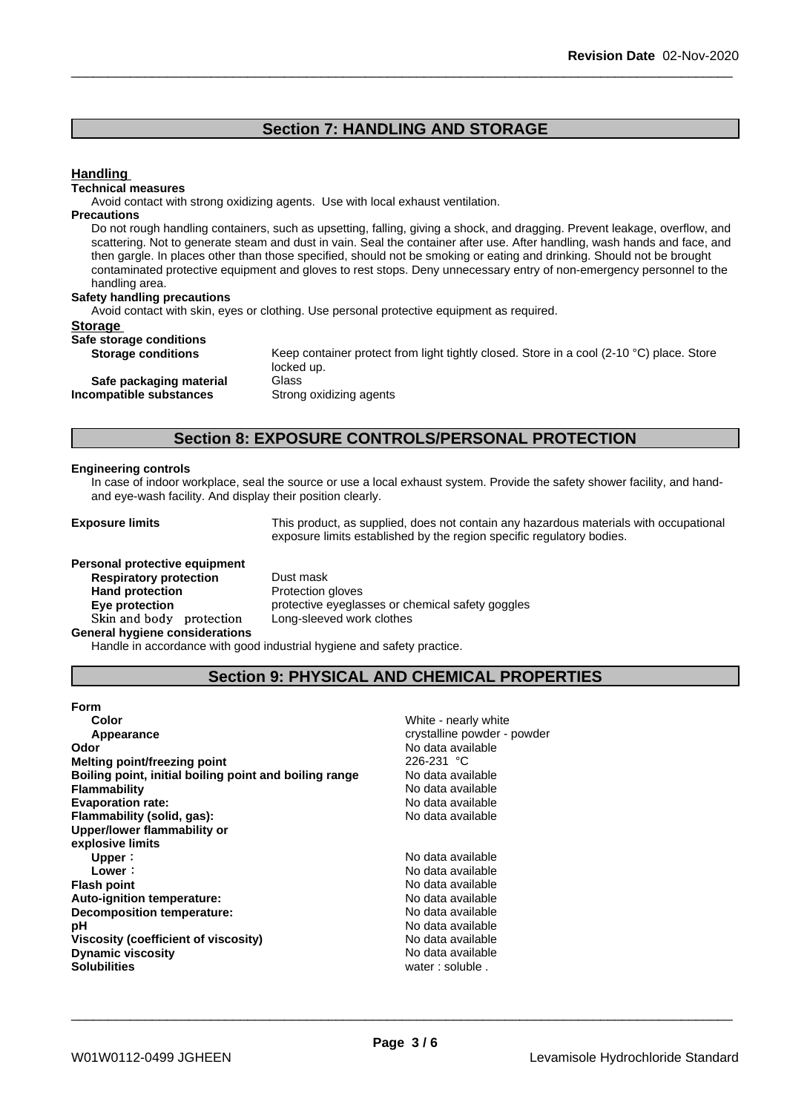# **Section 7: HANDLING AND STORAGE**

#### **Handling**

#### **Technical measures**

Avoid contact with strong oxidizing agents. Use with local exhaust ventilation.

#### **Precautions**

Do not rough handling containers, such as upsetting, falling, giving a shock, and dragging. Prevent leakage, overflow, and scattering. Not to generate steam and dust in vain. Seal the container after use. After handling, wash hands and face, and then gargle. In places other than those specified, should not be smoking or eating and drinking. Should not be brought contaminated protective equipment and gloves to rest stops. Deny unnecessary entry of non-emergency personnel to the handling area.

#### **Safety handling precautions**

Avoid contact with skin, eyes or clothing. Use personal protective equipment as required.

#### **Storage**

# **Safe storage conditions**

**Incompatible** substances

**Storage conditions** Keep container protect from light tightly closed. Store in a cool (2-10 °C) place. Store locked up. **Safe packaging material** Glass<br>**ompatible substances** Strong oxidizing agents

# **Section 8: EXPOSURE CONTROLS/PERSONAL PROTECTION**

#### **Engineering controls**

In case of indoor workplace, seal the source or use a local exhaust system. Provide the safety shower facility, and handand eye-wash facility. And display their position clearly.

**Exposure limits** This product, as supplied, does not contain any hazardous materials with occupational exposure limits established by the region specific regulatory bodies.

**Personal protective equipment Respiratory protection** Dust mask Hand protection **Protection** Protection gloves **Skinandbody protection** Long-sleeved work clothes **General hygiene considerations**

**Eye protection Eye protective eyeglasses or chemical safety goggles** 

Handle in accordance with good industrial hygiene and safety practice.

# **Section 9: PHYSICAL AND CHEMICAL PROPERTIES**

| <b>Form</b>                                            |                             |
|--------------------------------------------------------|-----------------------------|
| Color                                                  | White - nearly white        |
| Appearance                                             | crystalline powder - powder |
| Odor                                                   | No data available           |
| <b>Melting point/freezing point</b>                    | $226 - 231$ °C              |
| Boiling point, initial boiling point and boiling range | No data available           |
| <b>Flammability</b>                                    | No data available           |
| <b>Evaporation rate:</b>                               | No data available           |
| Flammability (solid, gas):                             | No data available           |
| Upper/lower flammability or                            |                             |
| explosive limits                                       |                             |
| Upper:                                                 | No data available           |
| Lower:                                                 | No data available           |
| <b>Flash point</b>                                     | No data available           |
| Auto-ignition temperature:                             | No data available           |
| Decomposition temperature:                             | No data available           |
| рH                                                     | No data available           |
| Viscosity (coefficient of viscosity)                   | No data available           |
| <b>Dynamic viscosity</b>                               | No data available           |
| <b>Solubilities</b>                                    | water: soluble.             |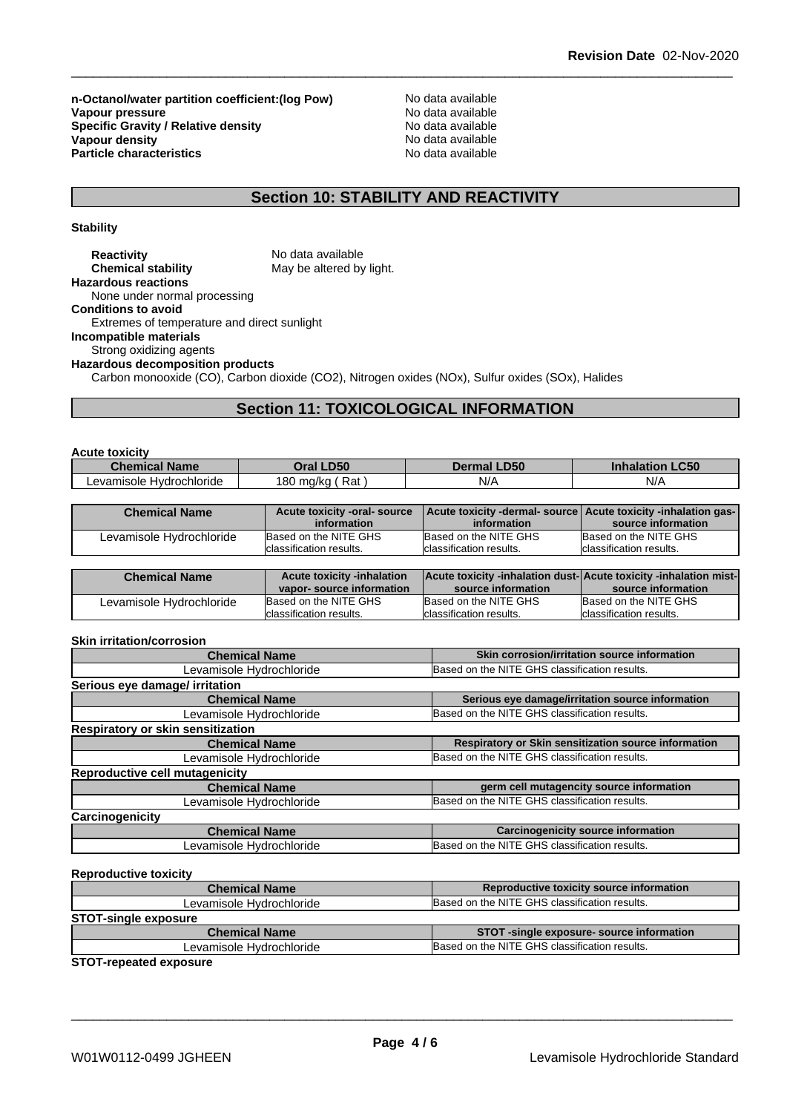**n-Octanol/water partition coefficient:(log Pow) No data available<br>
Vapour pressure<br>
No data available Vapour pressure**<br> **Specific Gravity / Relative density**<br>
Specific Gravity / Relative density<br>
No data available **Specific Gravity / Relative density** Notata available Notation of the set of the set of the set of the set of the set of the set of the set of the set of the set of the set of the set of the set of the set of the set of t **Vapour density Notable 2008 and 2009 Modern Controllering Controllering Note 2009 Modern Controllering Controllering Controllering Controllering Controllering Controllering Controllering Controllering Controllering Cont Particle characteristics** No data available

# **Section 10: STABILITY AND REACTIVITY**

**Stability**

| <b>Reactivity</b>                           | No data available                                                                                |
|---------------------------------------------|--------------------------------------------------------------------------------------------------|
| <b>Chemical stability</b>                   | May be altered by light.                                                                         |
| <b>Hazardous reactions</b>                  |                                                                                                  |
| None under normal processing                |                                                                                                  |
| <b>Conditions to avoid</b>                  |                                                                                                  |
| Extremes of temperature and direct sunlight |                                                                                                  |
| Incompatible materials                      |                                                                                                  |
| Strong oxidizing agents                     |                                                                                                  |
| <b>Hazardous decomposition products</b>     |                                                                                                  |
|                                             | Carbon monooxide (CO), Carbon dioxide (CO2), Nitrogen oxides (NOx), Sulfur oxides (SOx), Halides |

# **Section 11: TOXICOLOGICAL INFORMATION**

| <b>Acute toxicity</b>    |                    |                    |                                  |
|--------------------------|--------------------|--------------------|----------------------------------|
| <b>Chemical Name</b>     | Oral LD50          | <b>Dermal LD50</b> | <b>_C50</b><br><b>Inhalation</b> |
| Levamisole Hvdrochloride | Rat .<br>180 ma/ka | N/A                | N/A                              |

| <b>Chemical Name</b>     | Acute toxicity -oral- source | Acute toxicity -dermal- source   Acute toxicity -inhalation gas- |                          |
|--------------------------|------------------------------|------------------------------------------------------------------|--------------------------|
|                          | information                  | information                                                      | source information       |
| Levamisole Hydrochloride | Based on the NITE GHS        | Based on the NITE GHS                                            | Based on the NITE GHS    |
|                          | Iclassification results.     | Iclassification results.                                         | Iclassification results. |

| <b>Chemical Name</b>     | <b>Acute toxicity -inhalation</b> | Acute toxicity -inhalation dust-  Acute toxicity -inhalation mist- |                          |
|--------------------------|-----------------------------------|--------------------------------------------------------------------|--------------------------|
|                          | vapor-source information          | source information                                                 | source information       |
| Levamisole Hydrochloride | Based on the NITE GHS             | Based on the NITE GHS                                              | Based on the NITE GHS    |
|                          | classification results.           | Iclassification results.                                           | Iclassification results. |

#### **Skin irritation/corrosion**

| <b>Chemical Name</b>                  | Skin corrosion/irritation source information         |
|---------------------------------------|------------------------------------------------------|
| Levamisole Hydrochloride              | Based on the NITE GHS classification results.        |
| Serious eye damage/ irritation        |                                                      |
| <b>Chemical Name</b>                  | Serious eye damage/irritation source information     |
| Levamisole Hydrochloride              | Based on the NITE GHS classification results.        |
| Respiratory or skin sensitization     |                                                      |
| <b>Chemical Name</b>                  | Respiratory or Skin sensitization source information |
| Levamisole Hydrochloride              | Based on the NITE GHS classification results.        |
| <b>Reproductive cell mutagenicity</b> |                                                      |
| <b>Chemical Name</b>                  | germ cell mutagencity source information             |
| Levamisole Hydrochloride              | Based on the NITE GHS classification results.        |
| Carcinogenicity                       |                                                      |
| <b>Chemical Name</b>                  | <b>Carcinogenicity source information</b>            |
| Levamisole Hydrochloride              | Based on the NITE GHS classification results.        |
|                                       |                                                      |

#### **Reproductive toxicity**

| <b>Chemical Name</b>        | Reproductive toxicity source information      |
|-----------------------------|-----------------------------------------------|
| Levamisole Hydrochloride    | Based on the NITE GHS classification results. |
| <b>STOT-single exposure</b> |                                               |
| <b>Chemical Name</b>        | STOT -single exposure- source information     |
| Levamisole Hydrochloride    | Based on the NITE GHS classification results. |

**STOT-repeated exposure**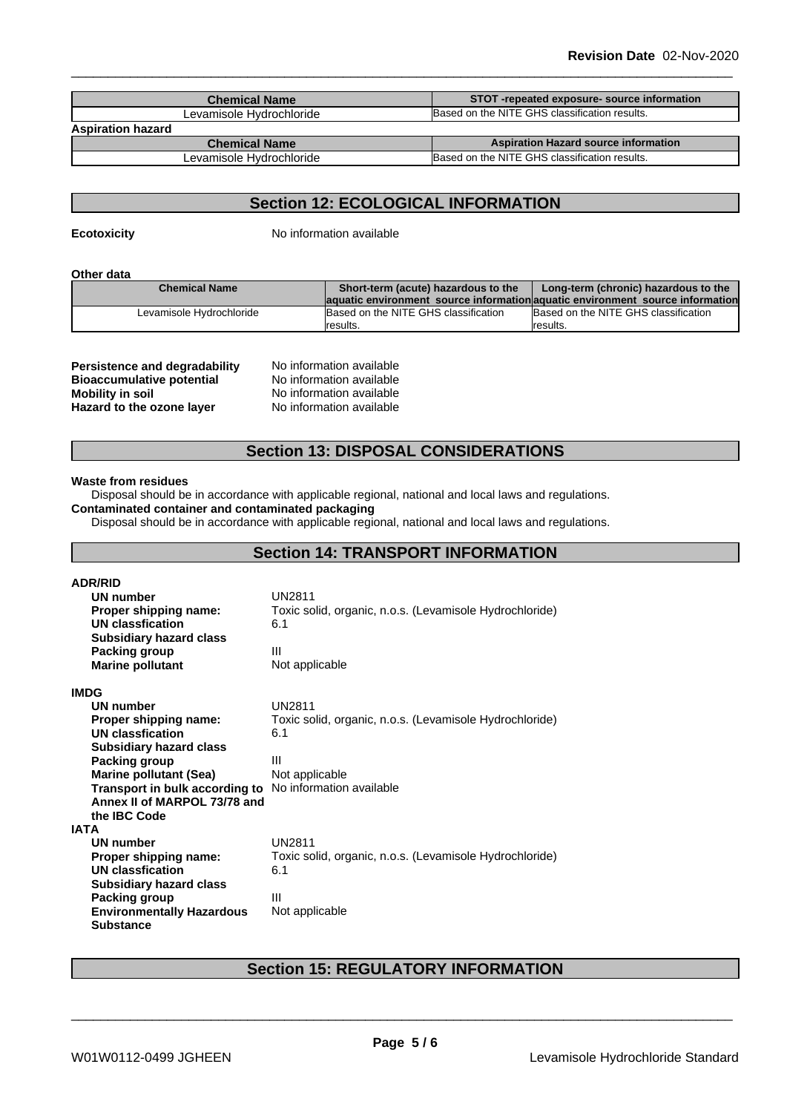| <b>Chemical Name</b>     | STOT-repeated exposure-source information     |
|--------------------------|-----------------------------------------------|
| Levamisole Hvdrochloride | Based on the NITE GHS classification results. |
| <b>Aspiration hazard</b> |                                               |
| <b>Chemical Name</b>     | <b>Aspiration Hazard source information</b>   |
| Levamisole Hydrochloride | Based on the NITE GHS classification results. |

# **Section 12: ECOLOGICAL INFORMATION**

**Ecotoxicity** No information available

#### **Other data**

| <b>Chemical Name</b>     | Short-term (acute) hazardous to the  | Long-term (chronic) hazardous to the                                           |
|--------------------------|--------------------------------------|--------------------------------------------------------------------------------|
|                          |                                      | laquatic environment source information aquatic environment source information |
| Levamisole Hydrochloride | Based on the NITE GHS classification | Based on the NITE GHS classification                                           |
|                          | Iresults.                            | Iresults.                                                                      |

| <b>Persistence and degradability</b> |  |
|--------------------------------------|--|
| <b>Bioaccumulative potential</b>     |  |
| <b>Mobility in soil</b>              |  |
| Hazard to the ozone layer            |  |

**No information available No information available No information available Hazard to the ozone layer** No information available

# **Section 13: DISPOSAL CONSIDERATIONS**

#### **Waste from residues**

Disposal should be in accordance with applicable regional, national and local laws and regulations.

# **Contaminated container and contaminated packaging**

Disposal should be in accordance with applicable regional, national and local laws and regulations.

# **Section 14: TRANSPORT INFORMATION**

| <b>ADR/RID</b>                                                 |                                                         |
|----------------------------------------------------------------|---------------------------------------------------------|
| UN number                                                      | UN2811                                                  |
| Proper shipping name:                                          | Toxic solid, organic, n.o.s. (Levamisole Hydrochloride) |
| UN classfication                                               | 6.1                                                     |
| <b>Subsidiary hazard class</b>                                 |                                                         |
| Packing group                                                  | Ш                                                       |
| <b>Marine pollutant</b>                                        | Not applicable                                          |
| <b>IMDG</b>                                                    |                                                         |
| UN number                                                      | <b>UN2811</b>                                           |
| Proper shipping name:                                          | Toxic solid, organic, n.o.s. (Levamisole Hydrochloride) |
| UN classfication                                               | 6.1                                                     |
| <b>Subsidiary hazard class</b>                                 |                                                         |
| Packing group                                                  | Ш                                                       |
| <b>Marine pollutant (Sea)</b>                                  | Not applicable                                          |
| <b>Transport in bulk according to</b> No information available |                                                         |
| Annex II of MARPOL 73/78 and                                   |                                                         |
| the IBC Code                                                   |                                                         |
| IATA                                                           |                                                         |
| <b>UN number</b>                                               | <b>UN2811</b>                                           |
| <b>Proper shipping name:</b>                                   | Toxic solid, organic, n.o.s. (Levamisole Hydrochloride) |
| UN classfication                                               | 6.1                                                     |
| <b>Subsidiary hazard class</b>                                 |                                                         |
| Packing group                                                  | Ш                                                       |
| <b>Environmentally Hazardous</b>                               | Not applicable                                          |
| <b>Substance</b>                                               |                                                         |

# **Section 15: REGULATORY INFORMATION**